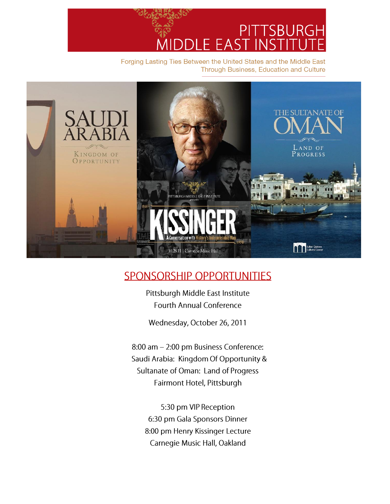PITTSBURGH FΑ н.

Forging Lasting Ties Between the United States and the Middle East Through Business, Education and Culture



## **SPONSORSHIP OPPORTUNITIES**

Pittsburgh Middle East Institute **Fourth Annual Conference** 

Wednesday, October 26, 2011

8:00 am - 2:00 pm Business Conference: Saudi Arabia: Kingdom Of Opportunity & Sultanate of Oman: Land of Progress Fairmont Hotel, Pittsburgh

5:30 pm VIP Reception 6:30 pm Gala Sponsors Dinner 8:00 pm Henry Kissinger Lecture Carnegie Music Hall, Oakland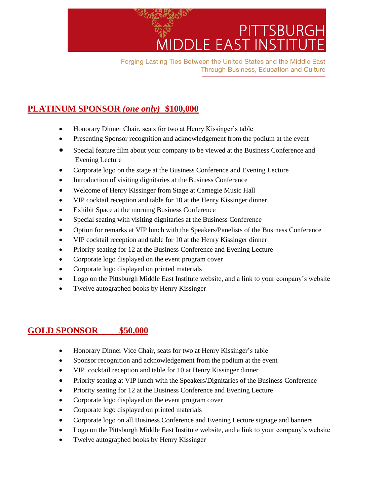

Forging Lasting Ties Between the United States and the Middle East **Through Business, Education and Culture** 

## **PLATINUM SPONSOR** *(one only)* **\$100,000**

- Honorary Dinner Chair, seats for two at Henry Kissinger's table
- Presenting Sponsor recognition and acknowledgement from the podium at the event
- Special feature film about your company to be viewed at the Business Conference and Evening Lecture
- Corporate logo on the stage at the Business Conference and Evening Lecture
- Introduction of visiting dignitaries at the Business Conference
- Welcome of Henry Kissinger from Stage at Carnegie Music Hall
- VIP cocktail reception and table for 10 at the Henry Kissinger dinner
- Exhibit Space at the morning Business Conference
- Special seating with visiting dignitaries at the Business Conference
- Option for remarks at VIP lunch with the Speakers/Panelists of the Business Conference
- VIP cocktail reception and table for 10 at the Henry Kissinger dinner
- Priority seating for 12 at the Business Conference and Evening Lecture
- Corporate logo displayed on the event program cover
- Corporate logo displayed on printed materials
- Logo on the Pittsburgh Middle East Institute website, and a link to your company's website
- Twelve autographed books by Henry Kissinger

### **GOLD SPONSOR \$50,000**

- Honorary Dinner Vice Chair, seats for two at Henry Kissinger's table
- Sponsor recognition and acknowledgement from the podium at the event
- VIP cocktail reception and table for 10 at Henry Kissinger dinner
- Priority seating at VIP lunch with the Speakers/Dignitaries of the Business Conference
- Priority seating for 12 at the Business Conference and Evening Lecture
- Corporate logo displayed on the event program cover
- Corporate logo displayed on printed materials
- Corporate logo on all Business Conference and Evening Lecture signage and banners
- Logo on the Pittsburgh Middle East Institute website, and a link to your company's website
- Twelve autographed books by Henry Kissinger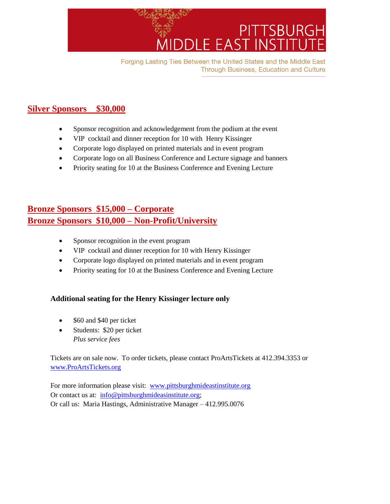

Forging Lasting Ties Between the United States and the Middle East **Through Business, Education and Culture** 

## **Silver Sponsors \$30,000**

- Sponsor recognition and acknowledgement from the podium at the event
- VIP cocktail and dinner reception for 10 with Henry Kissinger
- Corporate logo displayed on printed materials and in event program
- Corporate logo on all Business Conference and Lecture signage and banners
- Priority seating for 10 at the Business Conference and Evening Lecture

## **Bronze Sponsors \$15,000 – Corporate Bronze Sponsors \$10,000 – Non-Profit/University**

- Sponsor recognition in the event program
- VIP cocktail and dinner reception for 10 with Henry Kissinger
- Corporate logo displayed on printed materials and in event program
- Priority seating for 10 at the Business Conference and Evening Lecture

### **Additional seating for the Henry Kissinger lecture only**

- \$60 and \$40 per ticket
- Students: \$20 per ticket *Plus service fees*

Tickets are on sale now. To order tickets, please contact ProArtsTickets at 412.394.3353 or [www.ProArtsTickets.org](http://www.proartstickets.org/)

For more information please visit: [www.pittsburghmideastinstitute.org](http://www.pittsburghmideastinstitute.org/) Or contact us at:  $\frac{info@pittsburghmideasinstitute.org}{}$ Or call us: Maria Hastings, Administrative Manager – 412.995.0076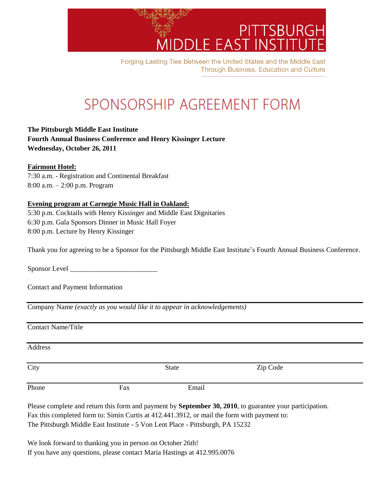

Forging Lasting Ties Between the United States and the Middle East **Through Business, Education and Culture** 

# SPONSORSHIP AGREEMENT FORM

**The Pittsburgh Middle East Institute Fourth Annual Business Conference and Henry Kissinger Lecture Wednesday, October 26, 2011**

#### **Fairmont Hotel:**

7:30 a.m. - Registration and Continental Breakfast 8:00 a.m. – 2:00 p.m. Program

### **Evening program at Carnegie Music Hall in Oakland:**

5:30 p.m. Cocktails with Henry Kissinger and Middle East Dignitaries 6:30 p.m. Gala Sponsors Dinner in Music Hall Foyer 8:00 p.m. Lecture by Henry Kissinger

Thank you for agreeing to be a Sponsor for the Pittsburgh Middle East Institute's Fourth Annual Business Conference.

Sponsor Level \_\_\_\_\_\_\_\_\_\_\_\_\_\_\_\_\_\_\_\_\_\_\_\_\_

Contact and Payment Information

Company Name *(exactly as you would like it to appear in acknowledgements)*

Contact Name/Title

| Address |     |              |          |  |
|---------|-----|--------------|----------|--|
| City    |     | <b>State</b> | Zip Code |  |
| Phone   | Fax | Email        |          |  |

Please complete and return this form and payment by **September 30, 2010**, to guarantee your participation. Fax this completed form to: Simin Curtis at 412.441.3912, or mail the form with payment to: The Pittsburgh Middle East Institute - 5 Von Lent Place - Pittsburgh, PA 15232

We look forward to thanking you in person on October 26th! If you have any questions, please contact Maria Hastings at 412.995.0076